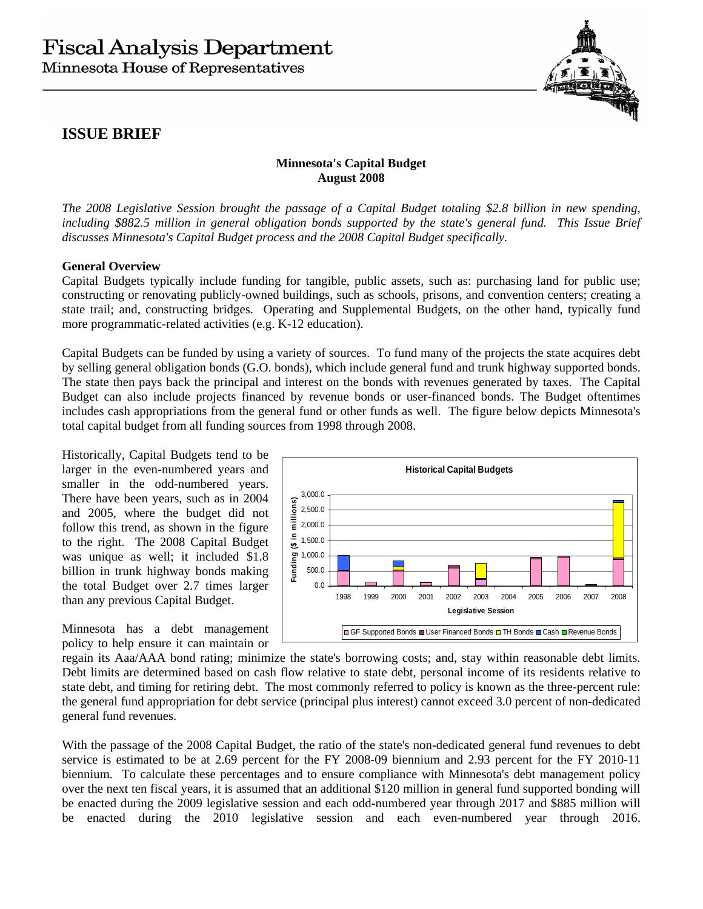

## **ISSUE BRIEF**

## **Minnesota's Capital Budget August 2008**

*The 2008 Legislative Session brought the passage of a Capital Budget totaling \$2.8 billion in new spending, including \$882.5 million in general obligation bonds supported by the state's general fund. This Issue Brief discusses Minnesota's Capital Budget process and the 2008 Capital Budget specifically.* 

## **General Overview**

Capital Budgets typically include funding for tangible, public assets, such as: purchasing land for public use; constructing or renovating publicly-owned buildings, such as schools, prisons, and convention centers; creating a state trail; and, constructing bridges. Operating and Supplemental Budgets, on the other hand, typically fund more programmatic-related activities (e.g. K-12 education).

Capital Budgets can be funded by using a variety of sources. To fund many of the projects the state acquires debt by selling general obligation bonds (G.O. bonds), which include general fund and trunk highway supported bonds. The state then pays back the principal and interest on the bonds with revenues generated by taxes. The Capital Budget can also include projects financed by revenue bonds or user-financed bonds. The Budget oftentimes includes cash appropriations from the general fund or other funds as well. The figure below depicts Minnesota's total capital budget from all funding sources from 1998 through 2008.

Historically, Capital Budgets tend to be larger in the even-numbered years and smaller in the odd-numbered years. There have been years, such as in 2004 and 2005, where the budget did not follow this trend, as shown in the figure to the right. The 2008 Capital Budget was unique as well; it included \$1.8 billion in trunk highway bonds making the total Budget over 2.7 times larger than any previous Capital Budget.

Minnesota has a debt management policy to help ensure it can maintain or



regain its Aaa/AAA bond rating; minimize the state's borrowing costs; and, stay within reasonable debt limits. Debt limits are determined based on cash flow relative to state debt, personal income of its residents relative to state debt, and timing for retiring debt. The most commonly referred to policy is known as the three-percent rule: the general fund appropriation for debt service (principal plus interest) cannot exceed 3.0 percent of non-dedicated general fund revenues.

With the passage of the 2008 Capital Budget, the ratio of the state's non-dedicated general fund revenues to debt service is estimated to be at 2.69 percent for the FY 2008-09 biennium and 2.93 percent for the FY 2010-11 biennium. To calculate these percentages and to ensure compliance with Minnesota's debt management policy over the next ten fiscal years, it is assumed that an additional \$120 million in general fund supported bonding will be enacted during the 2009 legislative session and each odd-numbered year through 2017 and \$885 million will be enacted during the 2010 legislative session and each even-numbered year through 2016.